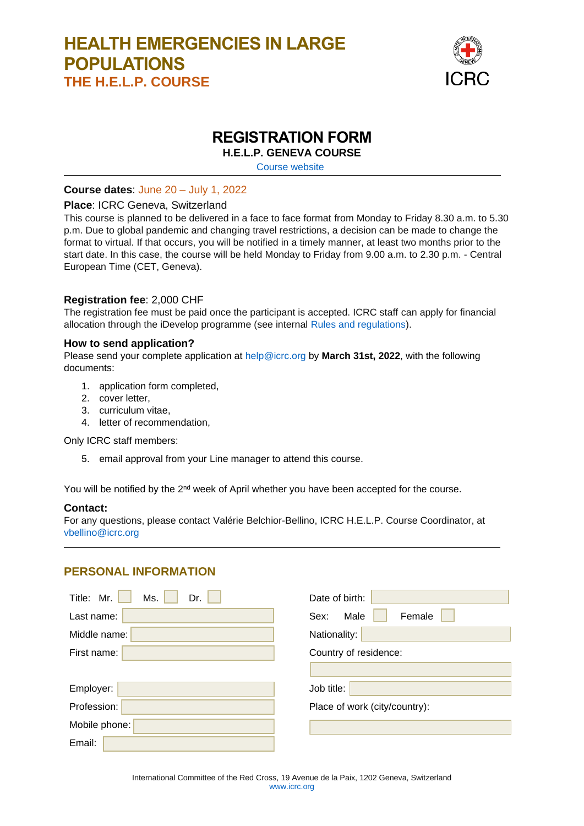# **HEALTH EMERGENCIES IN LARGE POPULATIONS THE H.E.L.P. COURSE**



## **REGISTRATION FORM**

**H.E.L.P. GENEVA COURSE**

[Course website](https://www.icrc.org/en/download/file/228244/help_calendar.pdf)

### **Course dates**: June 20 – July 1, 2022

#### **Place**: ICRC Geneva, Switzerland

This course is planned to be delivered in a face to face format from Monday to Friday 8.30 a.m. to 5.30 p.m. Due to global pandemic and changing travel restrictions, a decision can be made to change the format to virtual. If that occurs, you will be notified in a timely manner, at least two months prior to the start date. In this case, the course will be held Monday to Friday from 9.00 a.m. to 2.30 p.m. - Central European Time (CET, Geneva).

### **Registration fee**: 2,000 CHF

The registration fee must be paid once the participant is accepted. ICRC staff can apply for financial allocation through the iDevelop programme (see internal [Rules and regulations\)](https://collab.ext.icrc.org/sites/TS_ASSIST/_layouts/15/DocIdRedir.aspx?ID=TSASSIST-19-1050).

#### **How to send application?**

Please send your complete application at [help@icrc.org](mailto:help@icrc.org) by **March 31st, 2022**, with the following documents:

- 1. application form completed,
- 2. cover letter,
- 3. curriculum vitae,
- 4. letter of recommendation,

Only ICRC staff members:

5. email approval from your Line manager to attend this course.

You will be notified by the 2<sup>nd</sup> week of April whether you have been accepted for the course.

#### **Contact:**

For any questions, please contact Valérie Belchior-Bellino, ICRC H.E.L.P. Course Coordinator, at [vbellino@icrc.org](mailto:vbellino@icrc.org)

### **PERSONAL INFORMATION**

| Mr.<br>Title:<br>Ms.<br>Dr.<br>Last name: | Date of birth:<br>Male<br>Female<br>Sex: |
|-------------------------------------------|------------------------------------------|
| Middle name:                              | Nationality:                             |
| First name:                               | Country of residence:                    |
|                                           |                                          |
| Employer:                                 | Job title:                               |
| Profession:                               | Place of work (city/country):            |
| Mobile phone:                             |                                          |
| Email:                                    |                                          |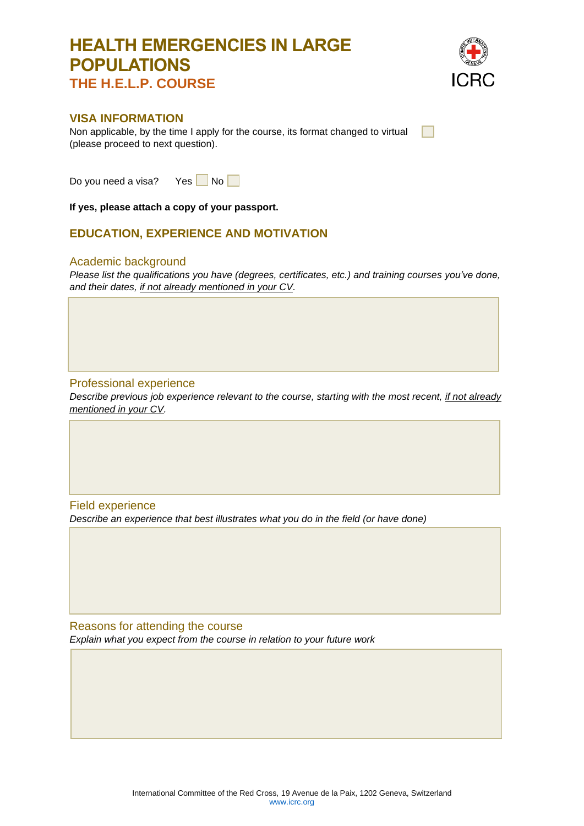# **HEALTH EMERGENCIES IN LARGE POPULATIONS THE H.E.L.P. COURSE**



### **VISA INFORMATION**

Non applicable, by the time I apply for the course, its format changed to virtual (please proceed to next question).

Do you need a visa? Yes  $\Box$  No  $\Box$ 

**If yes, please attach a copy of your passport.**

### **EDUCATION, EXPERIENCE AND MOTIVATION**

#### Academic background

*Please list the qualifications you have (degrees, certificates, etc.) and training courses you've done, and their dates, if not already mentioned in your CV.*

### Professional experience

*Describe previous job experience relevant to the course, starting with the most recent, if not already mentioned in your CV.*

Field experience *Describe an experience that best illustrates what you do in the field (or have done)*

Reasons for attending the course *Explain what you expect from the course in relation to your future work*